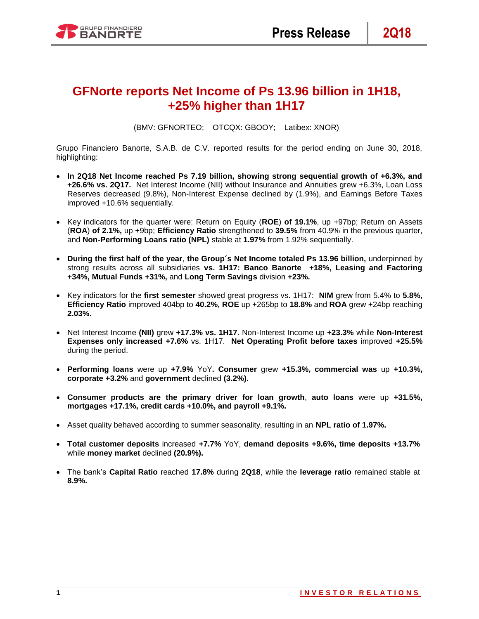# **GFNorte reports Net Income of Ps 13.96 billion in 1H18, +25% higher than 1H17**

(BMV: GFNORTEO; OTCQX: GBOOY; Latibex: XNOR)

Grupo Financiero Banorte, S.A.B. de C.V. reported results for the period ending on June 30, 2018, highlighting:

- **In 2Q18 Net Income reached Ps 7.19 billion, showing strong sequential growth of +6.3%, and +26.6% vs. 2Q17.** Net Interest Income (NII) without Insurance and Annuities grew +6.3%, Loan Loss Reserves decreased (9.8%), Non-Interest Expense declined by (1.9%), and Earnings Before Taxes improved +10.6% sequentially.
- Key indicators for the quarter were: Return on Equity (ROE) of 19.1%, up +97bp; Return on Assets (**ROA**) **of 2.1%,** up +9bp; **Efficiency Ratio** strengthened to **39.5%** from 40.9% in the previous quarter, and **Non-Performing Loans ratio (NPL)** stable at **1.97%** from 1.92% sequentially.
- **During the first half of the year**, **the Group´s Net Income totaled Ps 13.96 billion,** underpinned by strong results across all subsidiaries **vs. 1H17: Banco Banorte +18%, Leasing and Factoring +34%, Mutual Funds +31%,** and **Long Term Savings** division **+23%.**
- Key indicators for the **first semester** showed great progress vs. 1H17: **NIM** grew from 5.4% to **5.8%, Efficiency Ratio** improved 404bp to **40.2%, ROE** up +265bp to **18.8%** and **ROA** grew +24bp reaching **2.03%**.
- Net Interest Income **(NII)** grew **+17.3% vs. 1H17**. Non-Interest Income up **+23.3%** while **Non-Interest Expenses only increased +7.6%** vs. 1H17. **Net Operating Profit before taxes** improved **+25.5%** during the period.
- **Performing loans** were up **+7.9%** YoY**. Consumer** grew **+15.3%, commercial was** up **+10.3%, corporate +3.2%** and **government** declined **(3.2%).**
- **Consumer products are the primary driver for loan growth**, **auto loans** were up **+31.5%, mortgages +17.1%, credit cards +10.0%, and payroll +9.1%.**
- Asset quality behaved according to summer seasonality, resulting in an **NPL ratio of 1.97%.**
- **Total customer deposits** increased **+7.7%** YoY, **demand deposits +9.6%, time deposits +13.7%** while **money market** declined **(20.9%).**
- The bank's **Capital Ratio** reached **17.8%** during **2Q18**, while the **leverage ratio** remained stable at **8.9%.**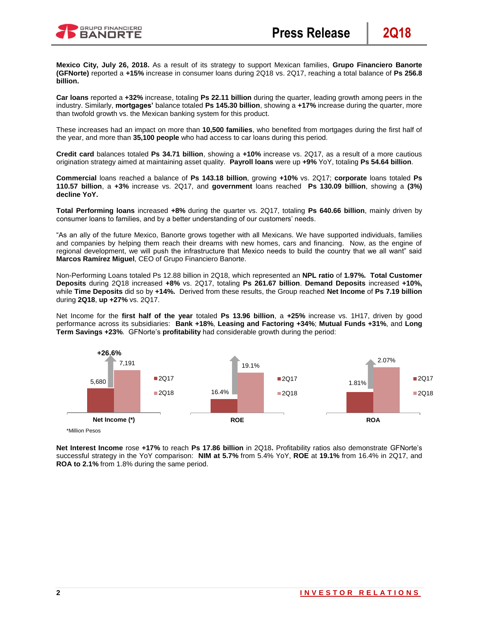

**Mexico City, July 26, 2018.** As a result of its strategy to support Mexican families, **Grupo Financiero Banorte (GFNorte)** reported a **+15%** increase in consumer loans during 2Q18 vs. 2Q17, reaching a total balance of **Ps 256.8 billion.**

**Car loans** reported a **+32%** increase, totaling **Ps 22.11 billion** during the quarter, leading growth among peers in the industry. Similarly, **mortgages'** balance totaled **Ps 145.30 billion**, showing a **+17%** increase during the quarter, more than twofold growth vs. the Mexican banking system for this product.

These increases had an impact on more than **10,500 families**, who benefited from mortgages during the first half of the year, and more than **35,100 people** who had access to car loans during this period.

**Credit card** balances totaled **Ps 34.71 billion**, showing a **+10%** increase vs. 2Q17, as a result of a more cautious origination strategy aimed at maintaining asset quality. **Payroll loans** were up **+9%** YoY, totaling **Ps 54.64 billion**.

**Commercial** loans reached a balance of **Ps 143.18 billion**, growing **+10%** vs. 2Q17; **corporate** loans totaled **Ps 110.57 billion**, a **+3%** increase vs. 2Q17, and **government** loans reached **Ps 130.09 billion**, showing a **(3%) decline YoY.**

**Total Performing loans** increased **+8%** during the quarter vs. 2Q17, totaling **Ps 640.66 billion**, mainly driven by consumer loans to families, and by a better understanding of our customers' needs.

"As an ally of the future Mexico, Banorte grows together with all Mexicans. We have supported individuals, families and companies by helping them reach their dreams with new homes, cars and financing. Now, as the engine of regional development, we will push the infrastructure that Mexico needs to build the country that we all want" said **Marcos Ramírez Miguel**, CEO of Grupo Financiero Banorte.

Non-Performing Loans totaled Ps 12.88 billion in 2Q18, which represented an **NPL ratio** of **1.97%. Total Customer Deposits** during 2Q18 increased **+8%** vs. 2Q17, totaling **Ps 261.67 billion**. **Demand Deposits** increased **+10%,** while **Time Deposits** did so by **+14%.** Derived from these results, the Group reached **Net Income** of **Ps 7.19 billion** during **2Q18**, **up +27%** vs. 2Q17.

Net Income for the **first half of the year** totaled **Ps 13.96 billion**, a **+25%** increase vs. 1H17, driven by good performance across its subsidiaries: **Bank +18%**, **Leasing and Factoring +34%**; **Mutual Funds +31%**, and **Long Term Savings +23%**. GFNorte's **profitability** had considerable growth during the period:



**Net Interest Income** rose **+17%** to reach **Ps 17.86 billion** in 2Q18**.** Profitability ratios also demonstrate GFNorte's successful strategy in the YoY comparison: **NIM at 5.7%** from 5.4% YoY, **ROE** at **19.1%** from 16.4% in 2Q17, and **ROA to 2.1%** from 1.8% during the same period.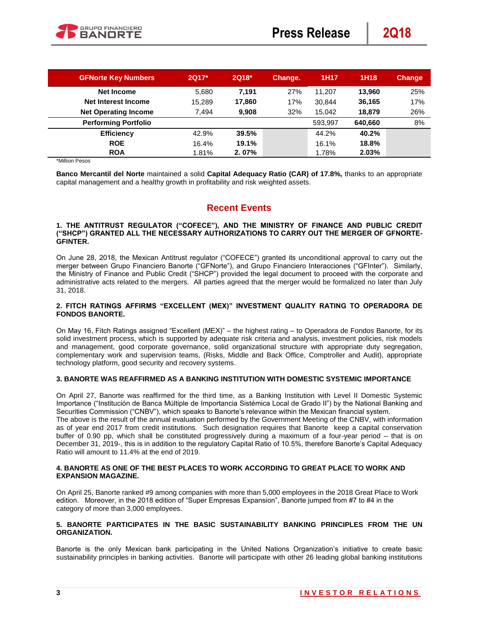

| <b>GFNorte Key Numbers</b>  | $2Q17*$ | $2Q18*$ | Change. | 1H17    | 1H <sub>18</sub> | Change |
|-----------------------------|---------|---------|---------|---------|------------------|--------|
| Net Income                  | 5,680   | 7.191   | 27%     | 11.207  | 13.960           | 25%    |
| Net Interest Income         | 15.289  | 17,860  | 17%     | 30.844  | 36,165           | 17%    |
| <b>Net Operating Income</b> | 7.494   | 9.908   | 32%     | 15.042  | 18,879           | 26%    |
| <b>Performing Portfolio</b> |         |         |         | 593.997 | 640.660          | 8%     |
| <b>Efficiency</b>           | 42.9%   | 39.5%   |         | 44.2%   | 40.2%            |        |
| <b>ROE</b>                  | 16.4%   | 19.1%   |         | 16.1%   | 18.8%            |        |
| <b>ROA</b>                  | 1.81%   | 2.07%   |         | 1.78%   | 2.03%            |        |

\*Million Pesos

**Banco Mercantil del Norte** maintained a solid **Capital Adequacy Ratio (CAR) of 17.8%,** thanks to an appropriate capital management and a healthy growth in profitability and risk weighted assets.

## **Recent Events**

## **1. THE ANTITRUST REGULATOR ("COFECE"), AND THE MINISTRY OF FINANCE AND PUBLIC CREDIT ("SHCP") GRANTED ALL THE NECESSARY AUTHORIZATIONS TO CARRY OUT THE MERGER OF GFNORTE-GFINTER.**

On June 28, 2018, the Mexican Antitrust regulator ("COFECE") granted its unconditional approval to carry out the merger between Grupo Financiero Banorte ("GFNorte"), and Grupo Financiero Interacciones ("GFInter"). Similarly, the Ministry of Finance and Public Credit ("SHCP") provided the legal document to proceed with the corporate and administrative acts related to the mergers. All parties agreed that the merger would be formalized no later than July 31, 2018.

## **2. FITCH RATINGS AFFIRMS "EXCELLENT (MEX)" INVESTMENT QUALITY RATING TO OPERADORA DE FONDOS BANORTE.**

On May 16, Fitch Ratings assigned "Excellent (MEX)" – the highest rating – to Operadora de Fondos Banorte, for its solid investment process, which is supported by adequate risk criteria and analysis, investment policies, risk models and management, good corporate governance, solid organizational structure with appropriate duty segregation, complementary work and supervision teams, (Risks, Middle and Back Office, Comptroller and Audit), appropriate technology platform, good security and recovery systems.

## **3. BANORTE WAS REAFFIRMED AS A BANKING INSTITUTION WITH DOMESTIC SYSTEMIC IMPORTANCE**

On April 27, Banorte was reaffirmed for the third time, as a Banking Institution with Level II Domestic Systemic Importance ("Institución de Banca Múltiple de Importancia Sistémica Local de Grado II") by the National Banking and Securities Commission ("CNBV"), which speaks to Banorte's relevance within the Mexican financial system.

The above is the result of the annual evaluation performed by the Government Meeting of the CNBV, with information as of year end 2017 from credit institutions. Such designation requires that Banorte keep a capital conservation buffer of 0.90 pp, which shall be constituted progressively during a maximum of a four-year period – that is on December 31, 2019-, this is in addition to the regulatory Capital Ratio of 10.5%, therefore Banorte's Capital Adequacy Ratio will amount to 11.4% at the end of 2019.

## **4. BANORTE AS ONE OF THE BEST PLACES TO WORK ACCORDING TO GREAT PLACE TO WORK AND EXPANSION MAGAZINE.**

On April 25, Banorte ranked #9 among companies with more than 5,000 employees in the 2018 Great Place to Work edition. Moreover, in the 2018 edition of "Super Empresas Expansion", Banorte jumped from #7 to #4 in the category of more than 3,000 employees.

## **5. BANORTE PARTICIPATES IN THE BASIC SUSTAINABILITY BANKING PRINCIPLES FROM THE UN ORGANIZATION.**

Banorte is the only Mexican bank participating in the United Nations Organization's initiative to create basic sustainability principles in banking activities. Banorte will participate with other 26 leading global banking institutions